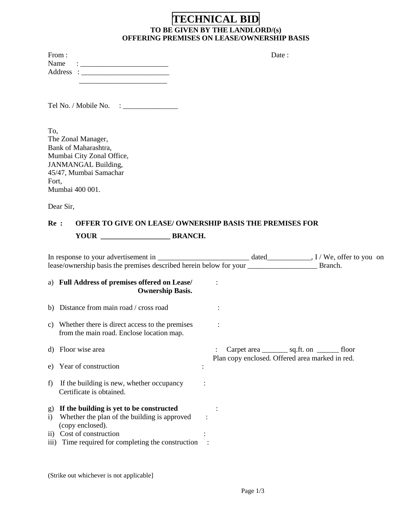## **TECHNICAL BID TO BE GIVEN BY THE LANDLORD/(s) OFFERING PREMISES ON LEASE/OWNERSHIP BASIS**

| From:                                                                                                                         | Date : |
|-------------------------------------------------------------------------------------------------------------------------------|--------|
| Name<br><u> 1986 - Jan Barbarat, politik eta provincia eta provincia eta provincia eta provincia eta provincia eta provin</u> |        |
|                                                                                                                               |        |
|                                                                                                                               |        |
|                                                                                                                               |        |
|                                                                                                                               |        |
|                                                                                                                               |        |
|                                                                                                                               |        |
|                                                                                                                               |        |
| To,                                                                                                                           |        |
| The Zonal Manager,                                                                                                            |        |
| Bank of Maharashtra,                                                                                                          |        |
| Mumbai City Zonal Office,                                                                                                     |        |
| <b>JANMANGAL Building,</b>                                                                                                    |        |
| 45/47, Mumbai Samachar                                                                                                        |        |
| Fort,                                                                                                                         |        |
| Mumbai 400 001.                                                                                                               |        |
| Dear Sir,                                                                                                                     |        |

# **Re : OFFER TO GIVE ON LEASE/ OWNERSHIP BASIS THE PREMISES FOR YOUR \_\_\_\_\_\_\_\_\_\_\_\_\_\_\_\_\_\_\_ BRANCH.**

|                                 |                                                                                                                                                                                            |  |  |                                                 | Branch.                                            |  |
|---------------------------------|--------------------------------------------------------------------------------------------------------------------------------------------------------------------------------------------|--|--|-------------------------------------------------|----------------------------------------------------|--|
|                                 | a) Full Address of premises offered on Lease/<br><b>Ownership Basis.</b>                                                                                                                   |  |  |                                                 |                                                    |  |
|                                 | b) Distance from main road / cross road                                                                                                                                                    |  |  |                                                 |                                                    |  |
|                                 | c) Whether there is direct access to the premises<br>from the main road. Enclose location map.                                                                                             |  |  |                                                 |                                                    |  |
|                                 | d) Floor wise area                                                                                                                                                                         |  |  | Plan copy enclosed. Offered area marked in red. | Carpet area <u>_______</u> sq.ft. on _______ floor |  |
|                                 | e) Year of construction                                                                                                                                                                    |  |  |                                                 |                                                    |  |
| f)                              | If the building is new, whether occupancy<br>Certificate is obtained.                                                                                                                      |  |  |                                                 |                                                    |  |
| g)<br>$\mathbf{i}$<br>$\rm ii)$ | If the building is yet to be constructed<br>Whether the plan of the building is approved<br>(copy enclosed).<br>Cost of construction<br>iii) Time required for completing the construction |  |  |                                                 |                                                    |  |

(Strike out whichever is not applicable]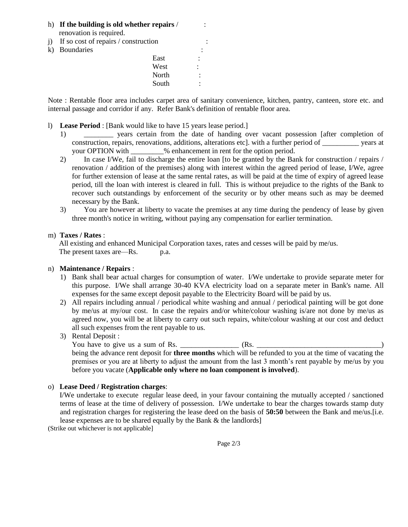- h) **If the building is old whether repairs** / : renovation is required.
- j) If so cost of repairs  $\prime$  construction
- k) Boundaries

| $\mathbf{L}$ | If so cost of repairs? construction |       |        |  |
|--------------|-------------------------------------|-------|--------|--|
| k)           | Boundaries                          |       | ٠      |  |
|              |                                     | East  | ٠<br>٠ |  |
|              |                                     | West  | ٠<br>٠ |  |
|              |                                     | North |        |  |
|              |                                     | South |        |  |
|              |                                     |       |        |  |

Note : Rentable floor area includes carpet area of sanitary convenience, kitchen, pantry, canteen, store etc. and internal passage and corridor if any. Refer Bank's definition of rentable floor area.

- l) **Lease Period** : [Bank would like to have 15 years lease period.]
	- 1) \_\_\_\_\_\_\_\_ years certain from the date of handing over vacant possession [after completion of construction, repairs, renovations, additions, alterations etc]. with a further period of \_\_\_\_\_\_\_\_\_\_ years at your OPTION with  $\%$  enhancement in rent for the option period.
	- 2) In case I/We, fail to discharge the entire loan [to be granted by the Bank for construction / repairs / renovation / addition of the premises) along with interest within the agreed period of lease, I/We, agree for further extension of lease at the same rental rates, as will be paid at the time of expiry of agreed lease period, till the loan with interest is cleared in full. This is without prejudice to the rights of the Bank to recover such outstandings by enforcement of the security or by other means such as may be deemed necessary by the Bank.
	- 3) You are however at liberty to vacate the premises at any time during the pendency of lease by given three month's notice in writing, without paying any compensation for earlier termination.

#### m) **Taxes / Rates** :

 All existing and enhanced Municipal Corporation taxes, rates and cesses will be paid by me/us. The present taxes are—Rs. p.a.

#### n) **Maintenance / Repairs** :

- 1) Bank shall bear actual charges for consumption of water. I/We undertake to provide separate meter for this purpose. I/We shall arrange 30-40 KVA electricity load on a separate meter in Bank's name. All expenses for the same except deposit payable to the Electricity Board will be paid by us.
- 2) All repairs including annual / periodical white washing and annual / periodical painting will be got done by me/us at my/our cost. In case the repairs and/or white/colour washing is/are not done by me/us as agreed now, you will be at liberty to carry out such repairs, white/colour washing at our cost and deduct all such expenses from the rent payable to us.
- 3) Rental Deposit :

You have to give us a sum of Rs. \_\_\_\_\_\_\_\_\_\_\_\_\_\_\_\_ (Rs. \_\_\_\_\_\_\_\_\_\_\_\_\_\_\_\_\_\_\_\_\_\_\_\_\_\_\_\_\_\_\_\_\_\_) being the advance rent deposit for **three months** which will be refunded to you at the time of vacating the premises or you are at liberty to adjust the amount from the last 3 month's rent payable by me/us by you before you vacate (**Applicable only where no loan component is involved**).

#### o) **Lease Deed / Registration charges**:

 I/We undertake to execute regular lease deed, in your favour containing the mutually accepted / sanctioned terms of lease at the time of delivery of possession. I/We undertake to bear the charges towards stamp duty and registration charges for registering the lease deed on the basis of **50:50** between the Bank and me/us.[i.e. lease expenses are to be shared equally by the Bank & the landlords]

(Strike out whichever is not applicable]